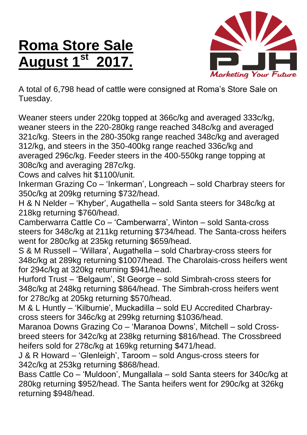## **Roma Store Sale August 1 st 2017.**



A total of 6,798 head of cattle were consigned at Roma's Store Sale on Tuesday.

Weaner steers under 220kg topped at 366c/kg and averaged 333c/kg, weaner steers in the 220-280kg range reached 348c/kg and averaged 321c/kg. Steers in the 280-350kg range reached 348c/kg and averaged 312/kg, and steers in the 350-400kg range reached 336c/kg and averaged 296c/kg. Feeder steers in the 400-550kg range topping at 308c/kg and averaging 287c/kg.

Cows and calves hit \$1100/unit.

Inkerman Grazing Co – 'Inkerman', Longreach – sold Charbray steers for 350c/kg at 209kg returning \$732/head.

H & N Nelder – 'Khyber', Augathella – sold Santa steers for 348c/kg at 218kg returning \$760/head.

Camberwarra Cattle Co – 'Camberwarra', Winton – sold Santa-cross steers for 348c/kg at 211kg returning \$734/head. The Santa-cross heifers went for 280c/kg at 235kg returning \$659/head.

S & M Russell – 'Willara', Augathella – sold Charbray-cross steers for 348c/kg at 289kg returning \$1007/head. The Charolais-cross heifers went for 294c/kg at 320kg returning \$941/head.

Hurford Trust – 'Belgaum', St George – sold Simbrah-cross steers for 348c/kg at 248kg returning \$864/head. The Simbrah-cross heifers went for 278c/kg at 205kg returning \$570/head.

M & L Huntly – 'Kilburnie', Muckadilla – sold EU Accredited Charbraycross steers for 346c/kg at 299kg returning \$1036/head.

Maranoa Downs Grazing Co – 'Maranoa Downs', Mitchell – sold Crossbreed steers for 342c/kg at 238kg returning \$816/head. The Crossbreed heifers sold for 278c/kg at 169kg returning \$471/head.

J & R Howard – 'Glenleigh', Taroom – sold Angus-cross steers for 342c/kg at 253kg returning \$868/head.

Bass Cattle Co – 'Muldoon', Mungallala – sold Santa steers for 340c/kg at 280kg returning \$952/head. The Santa heifers went for 290c/kg at 326kg returning \$948/head.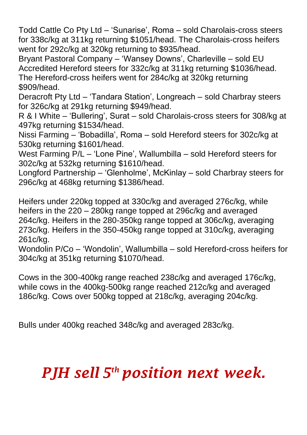Todd Cattle Co Pty Ltd – 'Sunarise', Roma – sold Charolais-cross steers for 338c/kg at 311kg returning \$1051/head. The Charolais-cross heifers went for 292c/kg at 320kg returning to \$935/head.

Bryant Pastoral Company – 'Wansey Downs', Charleville – sold EU Accredited Hereford steers for 332c/kg at 311kg returning \$1036/head. The Hereford-cross heifers went for 284c/kg at 320kg returning \$909/head.

Deracroft Pty Ltd – 'Tandara Station', Longreach – sold Charbray steers for 326c/kg at 291kg returning \$949/head.

R & I White – 'Bullering', Surat – sold Charolais-cross steers for 308/kg at 497kg returning \$1534/head.

Nissi Farming – 'Bobadilla', Roma – sold Hereford steers for 302c/kg at 530kg returning \$1601/head.

West Farming P/L – 'Lone Pine', Wallumbilla – sold Hereford steers for 302c/kg at 532kg returning \$1610/head.

Longford Partnership – 'Glenholme', McKinlay – sold Charbray steers for 296c/kg at 468kg returning \$1386/head.

Heifers under 220kg topped at 330c/kg and averaged 276c/kg, while heifers in the 220 – 280kg range topped at 296c/kg and averaged 264c/kg. Heifers in the 280-350kg range topped at 306c/kg, averaging 273c/kg. Heifers in the 350-450kg range topped at 310c/kg, averaging 261c/kg.

Wondolin P/Co – 'Wondolin', Wallumbilla – sold Hereford-cross heifers for 304c/kg at 351kg returning \$1070/head.

Cows in the 300-400kg range reached 238c/kg and averaged 176c/kg, while cows in the 400kg-500kg range reached 212c/kg and averaged 186c/kg. Cows over 500kg topped at 218c/kg, averaging 204c/kg.

Bulls under 400kg reached 348c/kg and averaged 283c/kg.

## *PJH sell 5 th position next week.*